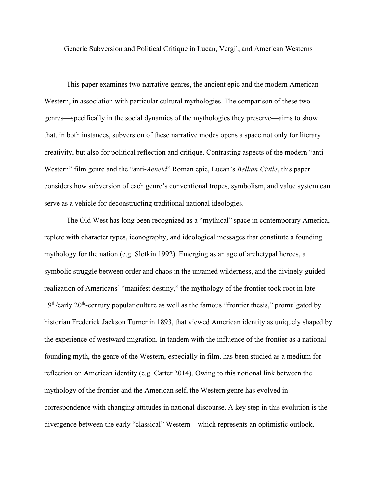Generic Subversion and Political Critique in Lucan, Vergil, and American Westerns

This paper examines two narrative genres, the ancient epic and the modern American Western, in association with particular cultural mythologies. The comparison of these two genres—specifically in the social dynamics of the mythologies they preserve—aims to show that, in both instances, subversion of these narrative modes opens a space not only for literary creativity, but also for political reflection and critique. Contrasting aspects of the modern "anti-Western" film genre and the "anti-*Aeneid*" Roman epic, Lucan's *Bellum Civile*, this paper considers how subversion of each genre's conventional tropes, symbolism, and value system can serve as a vehicle for deconstructing traditional national ideologies.

The Old West has long been recognized as a "mythical" space in contemporary America, replete with character types, iconography, and ideological messages that constitute a founding mythology for the nation (e.g. Slotkin 1992). Emerging as an age of archetypal heroes, a symbolic struggle between order and chaos in the untamed wilderness, and the divinely-guided realization of Americans' "manifest destiny," the mythology of the frontier took root in late  $19<sup>th</sup>/early$  20<sup>th</sup>-century popular culture as well as the famous "frontier thesis," promulgated by historian Frederick Jackson Turner in 1893, that viewed American identity as uniquely shaped by the experience of westward migration. In tandem with the influence of the frontier as a national founding myth, the genre of the Western, especially in film, has been studied as a medium for reflection on American identity (e.g. Carter 2014). Owing to this notional link between the mythology of the frontier and the American self, the Western genre has evolved in correspondence with changing attitudes in national discourse. A key step in this evolution is the divergence between the early "classical" Western—which represents an optimistic outlook,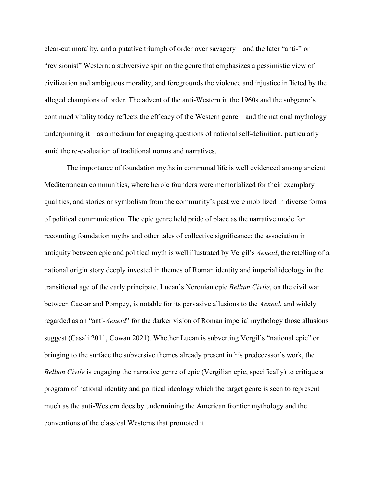clear-cut morality, and a putative triumph of order over savagery—and the later "anti-" or "revisionist" Western: a subversive spin on the genre that emphasizes a pessimistic view of civilization and ambiguous morality, and foregrounds the violence and injustice inflicted by the alleged champions of order. The advent of the anti-Western in the 1960s and the subgenre's continued vitality today reflects the efficacy of the Western genre—and the national mythology underpinning it—as a medium for engaging questions of national self-definition, particularly amid the re-evaluation of traditional norms and narratives.

The importance of foundation myths in communal life is well evidenced among ancient Mediterranean communities, where heroic founders were memorialized for their exemplary qualities, and stories or symbolism from the community's past were mobilized in diverse forms of political communication. The epic genre held pride of place as the narrative mode for recounting foundation myths and other tales of collective significance; the association in antiquity between epic and political myth is well illustrated by Vergil's *Aeneid*, the retelling of a national origin story deeply invested in themes of Roman identity and imperial ideology in the transitional age of the early principate. Lucan's Neronian epic *Bellum Civile*, on the civil war between Caesar and Pompey, is notable for its pervasive allusions to the *Aeneid*, and widely regarded as an "anti-*Aeneid*" for the darker vision of Roman imperial mythology those allusions suggest (Casali 2011, Cowan 2021). Whether Lucan is subverting Vergil's "national epic" or bringing to the surface the subversive themes already present in his predecessor's work, the *Bellum Civile* is engaging the narrative genre of epic (Vergilian epic, specifically) to critique a program of national identity and political ideology which the target genre is seen to represent much as the anti-Western does by undermining the American frontier mythology and the conventions of the classical Westerns that promoted it.